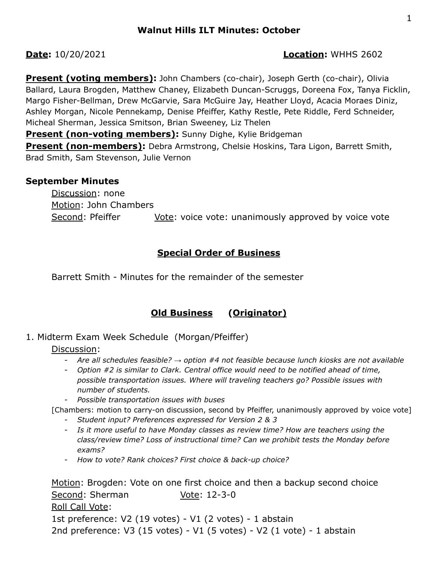# **Date:** 10/20/2021 **Location:** WHHS 2602

**Present (voting members):** John Chambers (co-chair), Joseph Gerth (co-chair), Olivia Ballard, Laura Brogden, Matthew Chaney, Elizabeth Duncan-Scruggs, Doreena Fox, Tanya Ficklin, Margo Fisher-Bellman, Drew McGarvie, Sara McGuire Jay, Heather Lloyd, Acacia Moraes Diniz, Ashley Morgan, Nicole Pennekamp, Denise Pfeiffer, Kathy Restle, Pete Riddle, Ferd Schneider, Micheal Sherman, Jessica Smitson, Brian Sweeney, Liz Thelen

**Present (non-voting members):** Sunny Dighe, Kylie Bridgeman

**Present (non-members):** Debra Armstrong, Chelsie Hoskins, Tara Ligon, Barrett Smith, Brad Smith, Sam Stevenson, Julie Vernon

# **September Minutes**

Discussion: none Motion: John Chambers Second: Pfeiffer **Vote:** voice vote: unanimously approved by voice vote

# **Special Order of Business**

Barrett Smith - Minutes for the remainder of the semester

# **Old Business (Originator)**

# 1. Midterm Exam Week Schedule (Morgan/Pfeiffer)

## Discussion:

- *- Are all schedules feasible? → option #4 not feasible because lunch kiosks are not available*
- *- Option #2 is similar to Clark. Central office would need to be notified ahead of time, possible transportation issues. Where will traveling teachers go? Possible issues with number of students.*
- *- Possible transportation issues with buses*

[Chambers: motion to carry-on discussion, second by Pfeiffer, unanimously approved by voice vote]

- *- Student input? Preferences expressed for Version 2 & 3*
- *- Is it more useful to have Monday classes as review time? How are teachers using the class/review time? Loss of instructional time? Can we prohibit tests the Monday before exams?*
- *- How to vote? Rank choices? First choice & back-up choice?*

Motion: Brogden: Vote on one first choice and then a backup second choice Second: Sherman Vote: 12-3-0 Roll Call Vote: 1st preference: V2 (19 votes) - V1 (2 votes) - 1 abstain 2nd preference: V3 (15 votes) - V1 (5 votes) - V2 (1 vote) - 1 abstain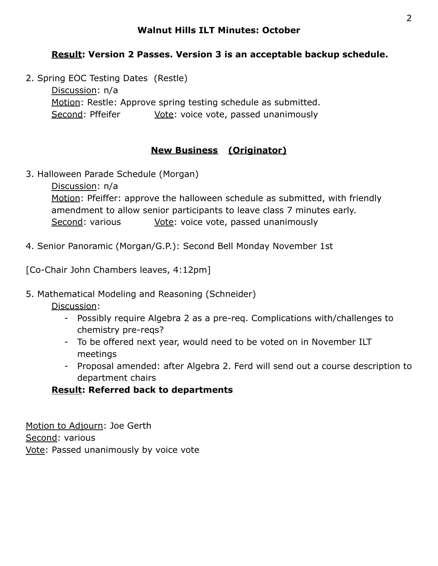#### **Walnut Hills ILT Minutes: October**

# **Result: Version 2 Passes. Version 3 is an acceptable backup schedule.**

2. Spring EOC Testing Dates (Restle) Discussion: n/a Motion: Restle: Approve spring testing schedule as submitted. Second: Pffeifer Vote: voice vote, passed unanimously

# **New Business (Originator)**

3. Halloween Parade Schedule (Morgan)

Discussion: n/a Motion: Pfeiffer: approve the halloween schedule as submitted, with friendly amendment to allow senior participants to leave class 7 minutes early. Second: various Vote: voice vote, passed unanimously

4. Senior Panoramic (Morgan/G.P.): Second Bell Monday November 1st

[Co-Chair John Chambers leaves, 4:12pm]

#### 5. Mathematical Modeling and Reasoning (Schneider)

Discussion:

- Possibly require Algebra 2 as a pre-req. Complications with/challenges to chemistry pre-reqs?
- To be offered next year, would need to be voted on in November ILT meetings
- Proposal amended: after Algebra 2. Ferd will send out a course description to department chairs

## **Result: Referred back to departments**

Motion to Adjourn: Joe Gerth Second: various Vote: Passed unanimously by voice vote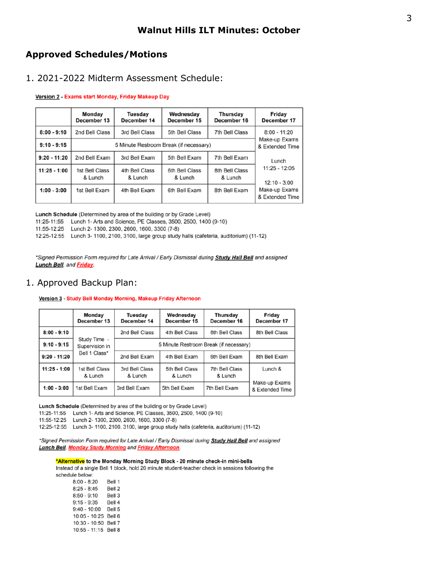#### **Approved Schedules/Motions**

#### 1. 2021-2022 Midterm Assessment Schedule:

#### Version 2 - Exams start Monday, Friday Makeup Day

|                | Monday<br>December 13                  | Tuesday<br>December 14    | Wednesday<br>December 15  | Thursday<br>December 16   | Friday<br>December 17             |  |
|----------------|----------------------------------------|---------------------------|---------------------------|---------------------------|-----------------------------------|--|
| $8:00 - 9:10$  | 2nd Bell Class                         | 3rd Bell Class            | 5th Bell Class            | 7th Bell Class            | $8:00 - 11:20$<br>Make-up Exams   |  |
| $9:10 - 9:15$  | 5 Minute Restroom Break (if necessary) |                           |                           |                           |                                   |  |
| 9:20 - 11:20   | 2nd Bell Exam                          | 3rd Bell Exam             | 5th Bell Exam             | 7th Bell Exam             | Lunch                             |  |
| $11:25 - 1:00$ | 1st Bell Class<br>& Lunch              | 4th Bell Class<br>& Lunch | 6th Bell Class<br>& Lunch | 8th Bell Class<br>& Lunch | $11:25 - 12:05$<br>$12:10 - 3:00$ |  |
| $1:00 - 3:00$  | 1st Bell Exam                          | 4th Bell Exam             | 6th Bell Exam             | 8th Bell Exam             | Make-up Exams<br>& Extended Time  |  |

Lunch Schedule (Determined by area of the building or by Grade Level)

11:25-11:55 Lunch 1- Arts and Science, PE Classes, 3500, 2500, 1400 (9-10)

11:55-12:25 Lunch 2- 1300, 2300, 2600, 1600, 3300 (7-8)

12:25-12:55 Lunch 3- 1100, 2100, 3100, large group study halls (cafeteria, auditorium) (11-12)

\*Signed Permission Form required for Late Arrival / Early Dismissal during **Study Hall Bell** and assigned **Lunch Bell**, and **Friday**.

#### 1. Approved Backup Plan:

#### Version 3 - Study Bell Monday Morning, Makeup Friday Afternoon

|                | Monday<br>December 13          | Tuesday<br>December 14                 | Wednesday<br>December 15  | Thursday<br>December 16   | Friday<br>December 17            |  |
|----------------|--------------------------------|----------------------------------------|---------------------------|---------------------------|----------------------------------|--|
| $8:00 - 9:10$  |                                | 2nd Bell Class                         | 4th Bell Class            | 6th Bell Class            | 8th Bell Class                   |  |
| $9:10 - 9:15$  | Study Time -<br>Supervision in | 5 Minute Restroom Break (if necessary) |                           |                           |                                  |  |
| $9:20 - 11:20$ | Bell 1 Class*                  | 2nd Bell Exam                          | 4th Bell Exam             | 6th Bell Exam             | 8th Bell Exam                    |  |
| $11:25 - 1:00$ | 1st Bell Class<br>& Lunch      | 3rd Bell Class<br>& Lunch              | 5th Bell Class<br>& Lunch | 7th Bell Class<br>& Lunch | Lunch &                          |  |
| $1:00 - 3:00$  | 1st Bell Exam                  | 3rd Bell Exam                          | 5th Bell Exam             | 7th Bell Exam             | Make-up Exams<br>& Extended Time |  |

Lunch Schedule (Determined by area of the building or by Grade Level)

11:25-11:55 Lunch 1- Arts and Science, PE Classes, 3500, 2500, 1400 (9-10)

11:55-12:25 Lunch 2- 1300, 2300, 2600, 1600, 3300 (7-8)

12:25-12:55 Lunch 3- 1100, 2100, 3100, large group study halls (cafeteria, auditorium) (11-12)

\*Signed Permission Form required for Late Arrival / Early Dismissal during **Study Hall Bell** and assigned **Lunch Bell, Monday Study Morning and Friday Afternoon.** 

#### \*Alternative to the Monday Morning Study Block - 20 minute check-in mini-bells

Instead of a single Bell 1 block, hold 20 minute student-teacher check in sessions following the schedule below:

| $8:00 - 8:20$        | Bell 1 |
|----------------------|--------|
| $8:25 - 8:45$        | Bell 2 |
| $8:50 - 9:10$        | Bell 3 |
| $9:15 - 9:35$        | Bell 4 |
| $9:40 - 10:00$       | Bell 5 |
| 10:05 - 10:25 Bell 6 |        |
| 10:30 - 10:50 Bell 7 |        |
| 10:55 - 11:15 Bell 8 |        |